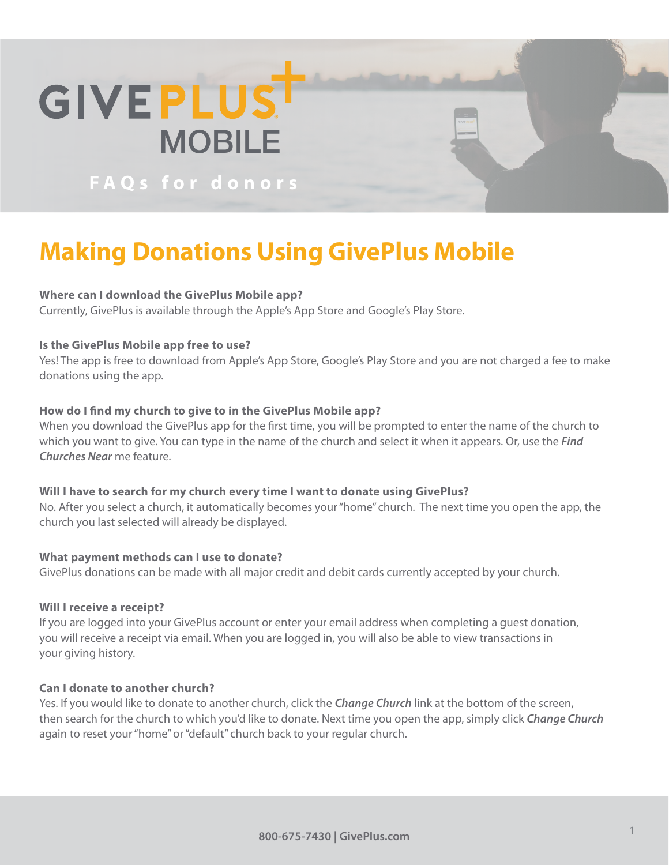

**FAQs for donors**

# **Making Donations Using GivePlus Mobile**

# **Where can I download the GivePlus Mobile app?**

Currently, GivePlus is available through the Apple's App Store and Google's Play Store.

# **Is the GivePlus Mobile app free to use?**

Yes! The app is free to download from Apple's App Store, Google's Play Store and you are not charged a fee to make donations using the app.

# **How do I find my church to give to in the GivePlus Mobile app?**

When you download the GivePlus app for the first time, you will be prompted to enter the name of the church to which you want to give. You can type in the name of the church and select it when it appears. Or, use the *Find Churches Near* me feature.

#### **Will I have to search for my church every time I want to donate using GivePlus?**

No. After you select a church, it automatically becomes your "home" church. The next time you open the app, the church you last selected will already be displayed.

# **What payment methods can I use to donate?**

GivePlus donations can be made with all major credit and debit cards currently accepted by your church.

### **Will I receive a receipt?**

If you are logged into your GivePlus account or enter your email address when completing a guest donation, you will receive a receipt via email. When you are logged in, you will also be able to view transactions in your giving history.

# **Can I donate to another church?**

Yes. If you would like to donate to another church, click the *Change Church* link at the bottom of the screen, then search for the church to which you'd like to donate. Next time you open the app, simply click *Change Church*  again to reset your "home" or "default" church back to your regular church.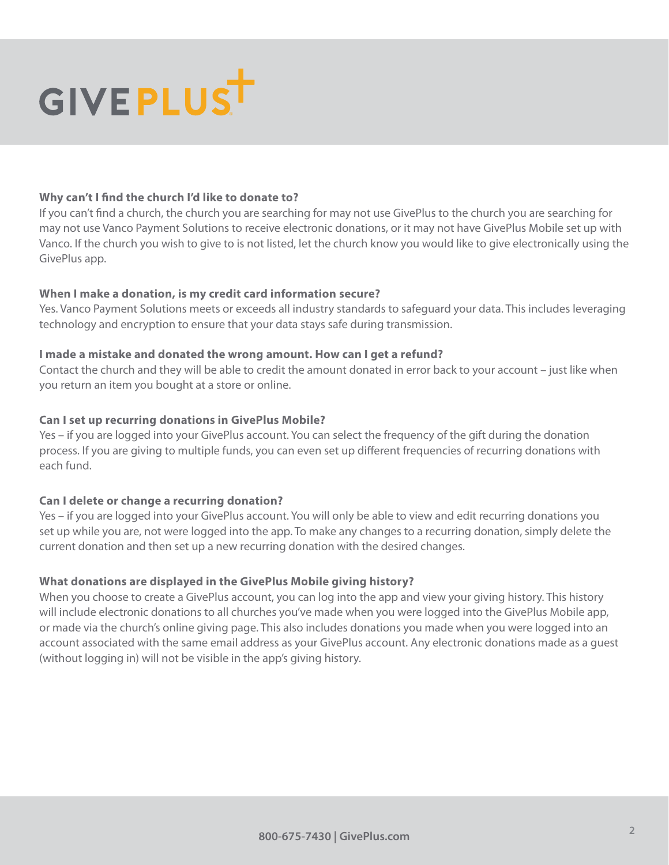

#### **Why can't I find the church I'd like to donate to?**

If you can't find a church, the church you are searching for may not use GivePlus to the church you are searching for may not use Vanco Payment Solutions to receive electronic donations, or it may not have GivePlus Mobile set up with Vanco. If the church you wish to give to is not listed, let the church know you would like to give electronically using the GivePlus app.

#### **When I make a donation, is my credit card information secure?**

Yes. Vanco Payment Solutions meets or exceeds all industry standards to safeguard your data. This includes leveraging technology and encryption to ensure that your data stays safe during transmission.

#### **I made a mistake and donated the wrong amount. How can I get a refund?**

Contact the church and they will be able to credit the amount donated in error back to your account – just like when you return an item you bought at a store or online.

#### **Can I set up recurring donations in GivePlus Mobile?**

Yes – if you are logged into your GivePlus account. You can select the frequency of the gift during the donation process. If you are giving to multiple funds, you can even set up different frequencies of recurring donations with each fund.

# **Can I delete or change a recurring donation?**

Yes – if you are logged into your GivePlus account. You will only be able to view and edit recurring donations you set up while you are, not were logged into the app. To make any changes to a recurring donation, simply delete the current donation and then set up a new recurring donation with the desired changes.

# **What donations are displayed in the GivePlus Mobile giving history?**

When you choose to create a GivePlus account, you can log into the app and view your giving history. This history will include electronic donations to all churches you've made when you were logged into the GivePlus Mobile app, or made via the church's online giving page. This also includes donations you made when you were logged into an account associated with the same email address as your GivePlus account. Any electronic donations made as a guest (without logging in) will not be visible in the app's giving history.